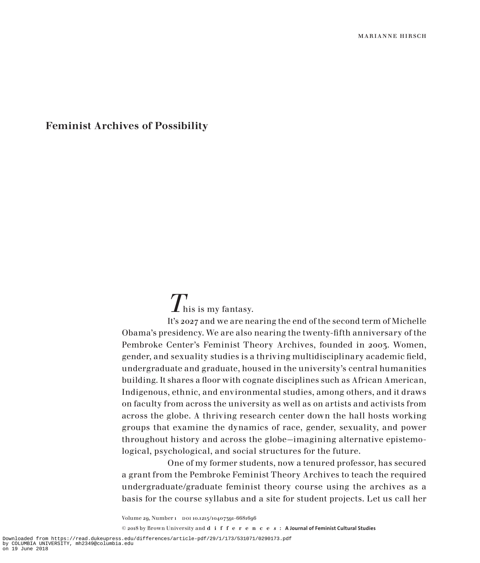## Feminist Archives of Possibility

## $T_{\mathrm{his\;is\;my\;fantasy.}}$

It's 2027 and we are nearing the end of the second term of Michelle Obama's presidency. We are also nearing the twenty-fifth anniversary of the Pembroke Center's Feminist Theory Archives, founded in 2003. Women, gender, and sexuality studies is a thriving multidisciplinary academic field, undergraduate and graduate, housed in the university's central humanities building. It shares a floor with cognate disciplines such as African American, Indigenous, ethnic, and environmental studies, among others, and it draws on faculty from across the university as well as on artists and activists from across the globe. A thriving research center down the hall hosts working groups that examine the dynamics of race, gender, sexuality, and power throughout history and across the globe—imagining alternative epistemological, psychological, and social structures for the future.

One of my former students, now a tenured professor, has secured a grant from the Pembroke Feminist Theory Archives to teach the required undergraduate/graduate feminist theory course using the archives as a basis for the course syllabus and a site for student projects. Let us call her

Volume 29, Number 1 DOI 10.1215/10407391-6681696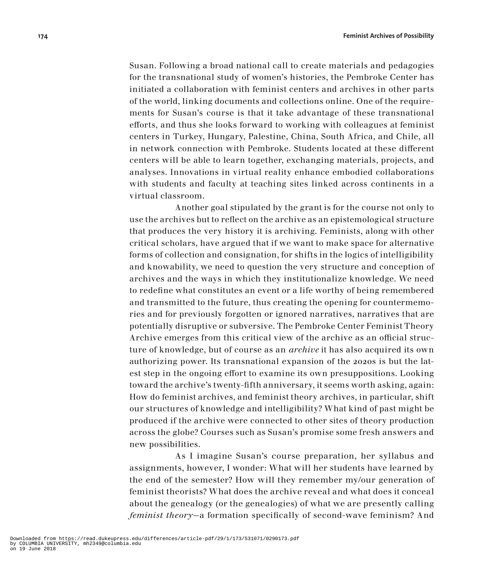Susan. Following a broad national call to create materials and pedagogies for the transnational study of women's histories, the Pembroke Center has initiated a collaboration with feminist centers and archives in other parts of the world, linking documents and collections online. One of the requirements for Susan's course is that it take advantage of these transnational efforts, and thus she looks forward to working with colleagues at feminist centers in Turkey, Hungary, Palestine, China, South Africa, and Chile, all in network connection with Pembroke. Students located at these different centers will be able to learn together, exchanging materials, projects, and analyses. Innovations in virtual reality enhance embodied collaborations with students and faculty at teaching sites linked across continents in a virtual classroom.

Another goal stipulated by the grant is for the course not only to use the archives but to reflect on the archive as an epistemological structure that produces the very history it is archiving. Feminists, along with other critical scholars, have argued that if we want to make space for alternative forms of collection and consignation, for shifts in the logics of intelligibility and knowability, we need to question the very structure and conception of archives and the ways in which they institutionalize knowledge. We need to redefine what constitutes an event or a life worthy of being remembered and transmitted to the future, thus creating the opening for countermemories and for previously forgotten or ignored narratives, narratives that are potentially disruptive or subversive. The Pembroke Center Feminist Theory Archive emerges from this critical view of the archive as an official structure of knowledge, but of course as an *archive* it has also acquired its own authorizing power. Its transnational expansion of the 2020s is but the latest step in the ongoing effort to examine its own presuppositions. Looking toward the archive's twenty-fifth anniversary, it seems worth asking, again: How do feminist archives, and feminist theory archives, in particular, shift our structures of knowledge and intelligibility? What kind of past might be produced if the archive were connected to other sites of theory production across the globe? Courses such as Susan's promise some fresh answers and new possibilities.

As I imagine Susan's course preparation, her syllabus and assignments, however, I wonder: What will her students have learned by the end of the semester? How will they remember my/our generation of feminist theorists? What does the archive reveal and what does it conceal about the genealogy (or the genealogies) of what we are presently calling *feminist theory*—a formation specifically of second-wave feminism? And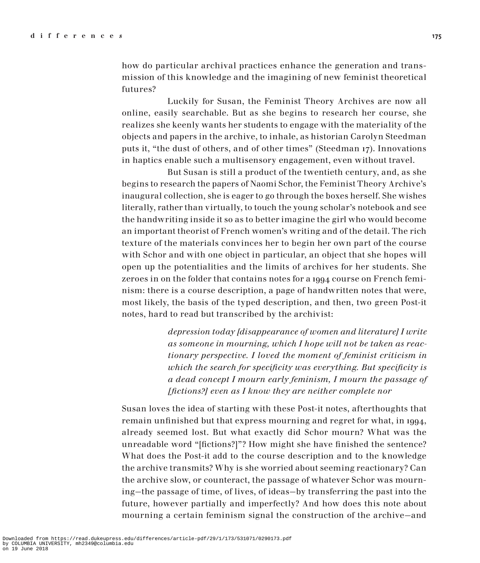how do particular archival practices enhance the generation and transmission of this knowledge and the imagining of new feminist theoretical futures?

Luckily for Susan, the Feminist Theory Archives are now all online, easily searchable. But as she begins to research her course, she realizes she keenly wants her students to engage with the materiality of the objects and papers in the archive, to inhale, as historian Carolyn Steedman puts it, "the dust of others, and of other times" (Steedman 17). Innovations in haptics enable such a multisensory engagement, even without travel.

But Susan is still a product of the twentieth century, and, as she begins to research the papers of Naomi Schor, the Feminist Theory Archive's inaugural collection, she is eager to go through the boxes herself. She wishes literally, rather than virtually, to touch the young scholar's notebook and see the handwriting inside it so as to better imagine the girl who would become an important theorist of French women's writing and of the detail. The rich texture of the materials convinces her to begin her own part of the course with Schor and with one object in particular, an object that she hopes will open up the potentialities and the limits of archives for her students. She zeroes in on the folder that contains notes for a 1994 course on French feminism: there is a course description, a page of handwritten notes that were, most likely, the basis of the typed description, and then, two green Post-it notes, hard to read but transcribed by the archivist:

> *depression today [disappearance of women and literature] I write as someone in mourning, which I hope will not be taken as reactionary perspective. I loved the moment of feminist criticism in which the search for specificity was everything. But specificity is a dead concept I mourn early feminism, I mourn the passage of [fictions?] even as I know they are neither complete nor*

Susan loves the idea of starting with these Post-it notes, afterthoughts that remain unfinished but that express mourning and regret for what, in 1994, already seemed lost. But what exactly did Schor mourn? What was the unreadable word "[fictions?]"? How might she have finished the sentence? What does the Post-it add to the course description and to the knowledge the archive transmits? Why is she worried about seeming reactionary? Can the archive slow, or counteract, the passage of whatever Schor was mourning—the passage of time, of lives, of ideas—by transferring the past into the future, however partially and imperfectly? And how does this note about mourning a certain feminism signal the construction of the archive—and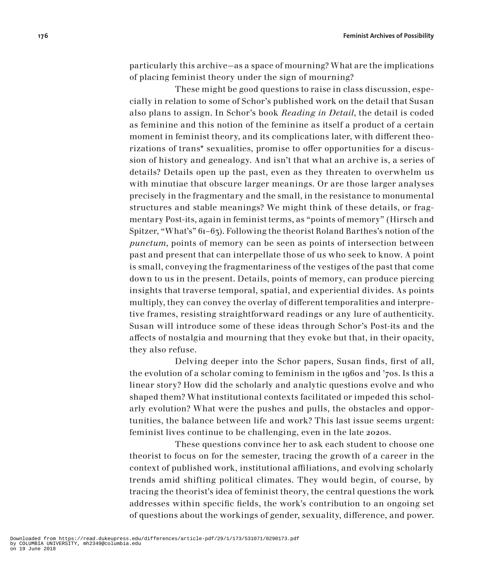particularly this archive—as a space of mourning? What are the implications of placing feminist theory under the sign of mourning?

These might be good questions to raise in class discussion, especially in relation to some of Schor's published work on the detail that Susan also plans to assign. In Schor's book *Reading in Detail*, the detail is coded as feminine and this notion of the feminine as itself a product of a certain moment in feminist theory, and its complications later, with different theorizations of trans\* sexualities, promise to offer opportunities for a discussion of history and genealogy. And isn't that what an archive is, a series of details? Details open up the past, even as they threaten to overwhelm us with minutiae that obscure larger meanings. Or are those larger analyses precisely in the fragmentary and the small, in the resistance to monumental structures and stable meanings? We might think of these details, or fragmentary Post-its, again in feminist terms, as "points of memory" (Hirsch and Spitzer, "What's" 61–63). Following the theorist Roland Barthes's notion of the *punctum*, points of memory can be seen as points of intersection between past and present that can interpellate those of us who seek to know. A point is small, conveying the fragmentariness of the vestiges of the past that come down to us in the present. Details, points of memory, can produce piercing insights that traverse temporal, spatial, and experiential divides. As points multiply, they can convey the overlay of different temporalities and interpretive frames, resisting straightforward readings or any lure of authenticity. Susan will introduce some of these ideas through Schor's Post-its and the affects of nostalgia and mourning that they evoke but that, in their opacity, they also refuse.

Delving deeper into the Schor papers, Susan finds, first of all, the evolution of a scholar coming to feminism in the 1960s and '70s. Is this a linear story? How did the scholarly and analytic questions evolve and who shaped them? What institutional contexts facilitated or impeded this scholarly evolution? What were the pushes and pulls, the obstacles and opportunities, the balance between life and work? This last issue seems urgent: feminist lives continue to be challenging, even in the late 2020s.

These questions convince her to ask each student to choose one theorist to focus on for the semester, tracing the growth of a career in the context of published work, institutional affiliations, and evolving scholarly trends amid shifting political climates. They would begin, of course, by tracing the theorist's idea of feminist theory, the central questions the work addresses within specific fields, the work's contribution to an ongoing set of questions about the workings of gender, sexuality, difference, and power.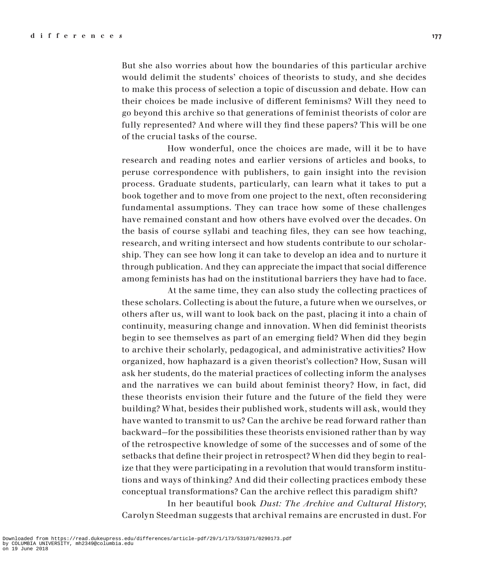But she also worries about how the boundaries of this particular archive would delimit the students' choices of theorists to study, and she decides to make this process of selection a topic of discussion and debate. How can their choices be made inclusive of different feminisms? Will they need to go beyond this archive so that generations of feminist theorists of color are fully represented? And where will they find these papers? This will be one of the crucial tasks of the course.

How wonderful, once the choices are made, will it be to have research and reading notes and earlier versions of articles and books, to peruse correspondence with publishers, to gain insight into the revision process. Graduate students, particularly, can learn what it takes to put a book together and to move from one project to the next, often reconsidering fundamental assumptions. They can trace how some of these challenges have remained constant and how others have evolved over the decades. On the basis of course syllabi and teaching files, they can see how teaching, research, and writing intersect and how students contribute to our scholarship. They can see how long it can take to develop an idea and to nurture it through publication. And they can appreciate the impact that social difference among feminists has had on the institutional barriers they have had to face.

At the same time, they can also study the collecting practices of these scholars. Collecting is about the future, a future when we ourselves, or others after us, will want to look back on the past, placing it into a chain of continuity, measuring change and innovation. When did feminist theorists begin to see themselves as part of an emerging field? When did they begin to archive their scholarly, pedagogical, and administrative activities? How organized, how haphazard is a given theorist's collection? How, Susan will ask her students, do the material practices of collecting inform the analyses and the narratives we can build about feminist theory? How, in fact, did these theorists envision their future and the future of the field they were building? What, besides their published work, students will ask, would they have wanted to transmit to us? Can the archive be read forward rather than backward—for the possibilities these theorists envisioned rather than by way of the retrospective knowledge of some of the successes and of some of the setbacks that define their project in retrospect? When did they begin to realize that they were participating in a revolution that would transform institutions and ways of thinking? And did their collecting practices embody these conceptual transformations? Can the archive reflect this paradigm shift?

In her beautiful book *Dust: The Archive and Cultural History*, Carolyn Steedman suggests that archival remains are encrusted in dust. For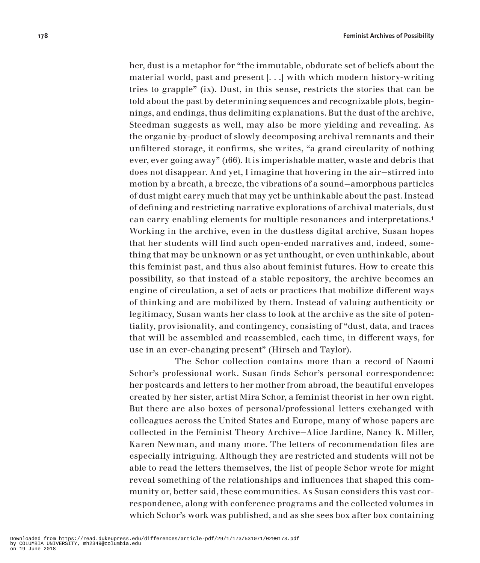her, dust is a metaphor for "the immutable, obdurate set of beliefs about the material world, past and present [. . .] with which modern history-writing tries to grapple" (ix). Dust, in this sense, restricts the stories that can be told about the past by determining sequences and recognizable plots, beginnings, and endings, thus delimiting explanations. But the dust of the archive, Steedman suggests as well, may also be more yielding and revealing. As the organic by-product of slowly decomposing archival remnants and their unfiltered storage, it confirms, she writes, "a grand circularity of nothing ever, ever going away" (166). It is imperishable matter, waste and debris that does not disappear. And yet, I imagine that hovering in the air—stirred into motion by a breath, a breeze, the vibrations of a sound—amorphous particles of dust might carry much that may yet be unthinkable about the past. Instead of defining and restricting narrative explorations of archival materials, dust can carry enabling elements for multiple resonances and interpretations.1 Working in the archive, even in the dustless digital archive, Susan hopes that her students will find such open-ended narratives and, indeed, something that may be unknown or as yet unthought, or even unthinkable, about this feminist past, and thus also about feminist futures. How to create this possibility, so that instead of a stable repository, the archive becomes an engine of circulation, a set of acts or practices that mobilize different ways of thinking and are mobilized by them. Instead of valuing authenticity or legitimacy, Susan wants her class to look at the archive as the site of potentiality, provisionality, and contingency, consisting of "dust, data, and traces that will be assembled and reassembled, each time, in different ways, for use in an ever-changing present" (Hirsch and Taylor).

The Schor collection contains more than a record of Naomi Schor's professional work. Susan finds Schor's personal correspondence: her postcards and letters to her mother from abroad, the beautiful envelopes created by her sister, artist Mira Schor, a feminist theorist in her own right. But there are also boxes of personal/professional letters exchanged with colleagues across the United States and Europe, many of whose papers are collected in the Feminist Theory Archive—Alice Jardine, Nancy K. Miller, Karen Newman, and many more. The letters of recommendation files are especially intriguing. Although they are restricted and students will not be able to read the letters themselves, the list of people Schor wrote for might reveal something of the relationships and influences that shaped this community or, better said, these communities. As Susan considers this vast correspondence, along with conference programs and the collected volumes in which Schor's work was published, and as she sees box after box containing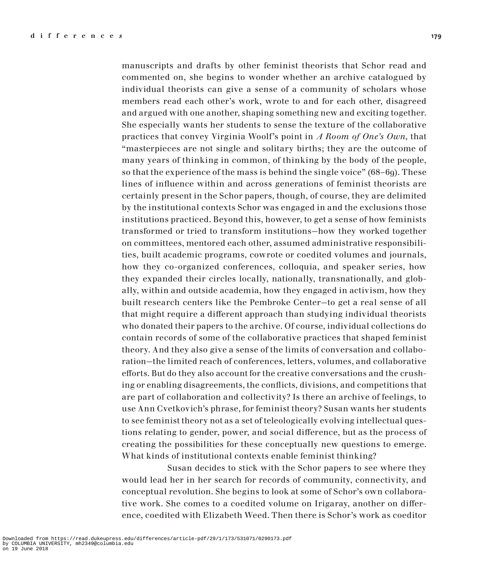manuscripts and drafts by other feminist theorists that Schor read and commented on, she begins to wonder whether an archive catalogued by individual theorists can give a sense of a community of scholars whose members read each other's work, wrote to and for each other, disagreed and argued with one another, shaping something new and exciting together. She especially wants her students to sense the texture of the collaborative practices that convey Virginia Woolf's point in *A Room of One's Own*, that "masterpieces are not single and solitary births; they are the outcome of many years of thinking in common, of thinking by the body of the people, so that the experience of the mass is behind the single voice" (68–69). These lines of influence within and across generations of feminist theorists are certainly present in the Schor papers, though, of course, they are delimited by the institutional contexts Schor was engaged in and the exclusions those institutions practiced. Beyond this, however, to get a sense of how feminists transformed or tried to transform institutions—how they worked together on committees, mentored each other, assumed administrative responsibilities, built academic programs, cowrote or coedited volumes and journals, how they co-organized conferences, colloquia, and speaker series, how they expanded their circles locally, nationally, transnationally, and globally, within and outside academia, how they engaged in activism, how they built research centers like the Pembroke Center—to get a real sense of all that might require a different approach than studying individual theorists who donated their papers to the archive. Of course, individual collections do contain records of some of the collaborative practices that shaped feminist theory. And they also give a sense of the limits of conversation and collaboration—the limited reach of conferences, letters, volumes, and collaborative efforts. But do they also account for the creative conversations and the crushing or enabling disagreements, the conflicts, divisions, and competitions that are part of collaboration and collectivity? Is there an archive of feelings, to use Ann Cvetkovich's phrase, for feminist theory? Susan wants her students to see feminist theory not as a set of teleologically evolving intellectual questions relating to gender, power, and social difference, but as the process of creating the possibilities for these conceptually new questions to emerge. What kinds of institutional contexts enable feminist thinking?

Susan decides to stick with the Schor papers to see where they would lead her in her search for records of community, connectivity, and conceptual revolution. She begins to look at some of Schor's own collaborative work. She comes to a coedited volume on Irigaray, another on difference, coedited with Elizabeth Weed. Then there is Schor's work as coeditor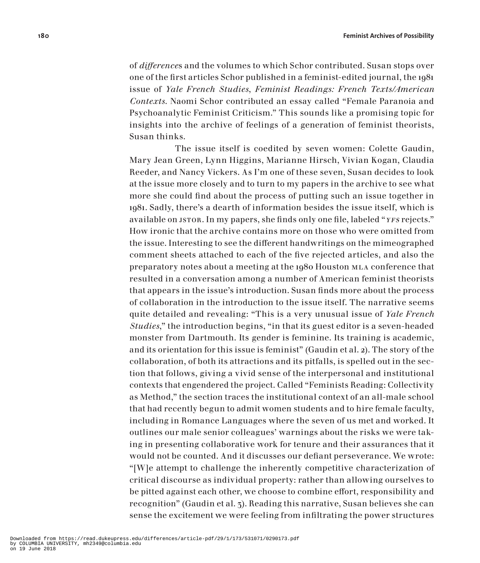of *difference*s and the volumes to which Schor contributed. Susan stops over one of the first articles Schor published in a feminist-edited journal, the 1981 issue of *Yale French Studies*, *Feminist Readings: French Texts/American Contexts*. Naomi Schor contributed an essay called "Female Paranoia and Psychoanalytic Feminist Criticism." This sounds like a promising topic for insights into the archive of feelings of a generation of feminist theorists, Susan thinks.

The issue itself is coedited by seven women: Colette Gaudin, Mary Jean Green, Lynn Higgins, Marianne Hirsch, Vivian Kogan, Claudia Reeder, and Nancy Vickers. As I'm one of these seven, Susan decides to look at the issue more closely and to turn to my papers in the archive to see what more she could find about the process of putting such an issue together in 1981. Sadly, there's a dearth of information besides the issue itself, which is available on JSTOR. In my papers, she finds only one file, labeled "YFS rejects." How ironic that the archive contains more on those who were omitted from the issue. Interesting to see the different handwritings on the mimeographed comment sheets attached to each of the five rejected articles, and also the preparatory notes about a meeting at the 1980 Houston mla conference that resulted in a conversation among a number of American feminist theorists that appears in the issue's introduction. Susan finds more about the process of collaboration in the introduction to the issue itself. The narrative seems quite detailed and revealing: "This is a very unusual issue of *Yale French Studies*," the introduction begins, "in that its guest editor is a seven-headed monster from Dartmouth. Its gender is feminine. Its training is academic, and its orientation for this issue is feminist" (Gaudin et al. 2). The story of the collaboration, of both its attractions and its pitfalls, is spelled out in the section that follows, giving a vivid sense of the interpersonal and institutional contexts that engendered the project. Called "Feminists Reading: Collectivity as Method," the section traces the institutional context of an all-male school that had recently begun to admit women students and to hire female faculty, including in Romance Languages where the seven of us met and worked. It outlines our male senior colleagues' warnings about the risks we were taking in presenting collaborative work for tenure and their assurances that it would not be counted. And it discusses our defiant perseverance. We wrote: "[W]e attempt to challenge the inherently competitive characterization of critical discourse as individual property: rather than allowing ourselves to be pitted against each other, we choose to combine effort, responsibility and recognition" (Gaudin et al. 3). Reading this narrative, Susan believes she can sense the excitement we were feeling from infiltrating the power structures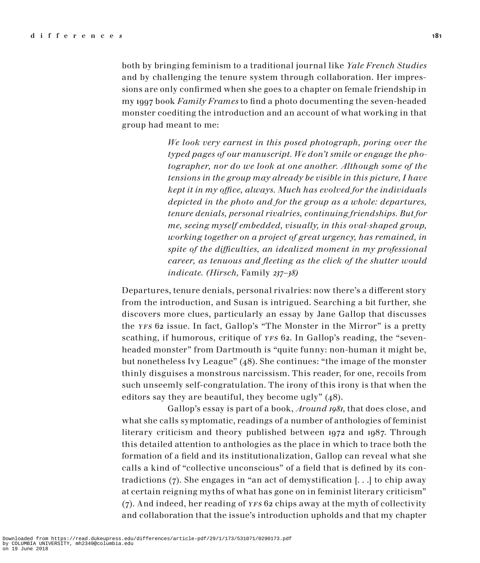both by bringing feminism to a traditional journal like *Yale French Studies* and by challenging the tenure system through collaboration. Her impressions are only confirmed when she goes to a chapter on female friendship in my 1997 book *Family Frames* to find a photo documenting the seven-headed monster coediting the introduction and an account of what working in that group had meant to me:

> *We look very earnest in this posed photograph, poring over the typed pages of our manuscript. We don't smile or engage the photographer, nor do we look at one another. Although some of the tensions in the group may already be visible in this picture, I have kept it in my office, always. Much has evolved for the individuals depicted in the photo and for the group as a whole: departures, tenure denials, personal rivalries, continuing friendships. But for me, seeing myself embedded, visually, in this oval-shaped group, working together on a project of great urgency, has remained, in spite of the difficulties, an idealized moment in my professional career, as tenuous and fleeting as the click of the shutter would indicate. (Hirsch,* Family *237–38)*

Departures, tenure denials, personal rivalries: now there's a different story from the introduction, and Susan is intrigued. Searching a bit further, she discovers more clues, particularly an essay by Jane Gallop that discusses the yfs 62 issue. In fact, Gallop's "The Monster in the Mirror" is a pretty scathing, if humorous, critique of *yFs* 62. In Gallop's reading, the "sevenheaded monster" from Dartmouth is "quite funny: non-human it might be, but nonetheless Ivy League" (48). She continues: "the image of the monster thinly disguises a monstrous narcissism. This reader, for one, recoils from such unseemly self-congratulation. The irony of this irony is that when the editors say they are beautiful, they become ugly" (48).

Gallop's essay is part of a book, *Around 1981,* that does close, and what she calls symptomatic, readings of a number of anthologies of feminist literary criticism and theory published between 1972 and 1987. Through this detailed attention to anthologies as the place in which to trace both the formation of a field and its institutionalization, Gallop can reveal what she calls a kind of "collective unconscious" of a field that is defined by its contradictions (7). She engages in "an act of demystification [. . .] to chip away at certain reigning myths of what has gone on in feminist literary criticism"  $(7)$ . And indeed, her reading of *yrs* 62 chips away at the myth of collectivity and collaboration that the issue's introduction upholds and that my chapter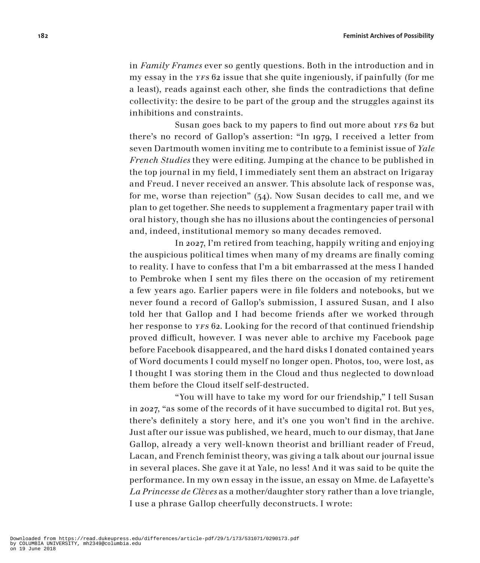in *Family Frames* ever so gently questions. Both in the introduction and in my essay in the *yFs* 62 issue that she quite ingeniously, if painfully (for me a least), reads against each other, she finds the contradictions that define collectivity: the desire to be part of the group and the struggles against its inhibitions and constraints.

Susan goes back to my papers to find out more about YFS 62 but there's no record of Gallop's assertion: "In 1979, I received a letter from seven Dartmouth women inviting me to contribute to a feminist issue of *Yale French Studies* they were editing. Jumping at the chance to be published in the top journal in my field, I immediately sent them an abstract on Irigaray and Freud. I never received an answer. This absolute lack of response was, for me, worse than rejection" (54). Now Susan decides to call me, and we plan to get together. She needs to supplement a fragmentary paper trail with oral history, though she has no illusions about the contingencies of personal and, indeed, institutional memory so many decades removed.

In 2027, I'm retired from teaching, happily writing and enjoying the auspicious political times when many of my dreams are finally coming to reality. I have to confess that I'm a bit embarrassed at the mess I handed to Pembroke when I sent my files there on the occasion of my retirement a few years ago. Earlier papers were in file folders and notebooks, but we never found a record of Gallop's submission, I assured Susan, and I also told her that Gallop and I had become friends after we worked through her response to *YFS* 62. Looking for the record of that continued friendship proved difficult, however. I was never able to archive my Facebook page before Facebook disappeared, and the hard disks I donated contained years of Word documents I could myself no longer open. Photos, too, were lost, as I thought I was storing them in the Cloud and thus neglected to download them before the Cloud itself self-destructed.

"You will have to take my word for our friendship," I tell Susan in 2027, "as some of the records of it have succumbed to digital rot. But yes, there's definitely a story here, and it's one you won't find in the archive. Just after our issue was published, we heard, much to our dismay, that Jane Gallop, already a very well-known theorist and brilliant reader of Freud, Lacan, and French feminist theory, was giving a talk about our journal issue in several places. She gave it at Yale, no less! And it was said to be quite the performance. In my own essay in the issue, an essay on Mme. de Lafayette's *La Princesse de Clèves* as a mother/daughter story rather than a love triangle, I use a phrase Gallop cheerfully deconstructs. I wrote: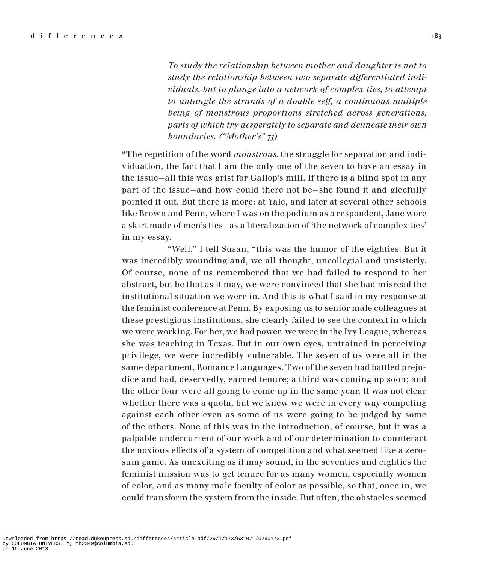*To study the relationship between mother and daughter is not to study the relationship between two separate differentiated individuals, but to plunge into a network of complex ties, to attempt to untangle the strands of a double self, a continuous multiple being of monstrous proportions stretched across generations, parts of which try desperately to separate and delineate their own boundaries. ("Mother's" 73)*

"The repetition of the word *monstrous*, the struggle for separation and individuation, the fact that I am the only one of the seven to have an essay in the issue—all this was grist for Gallop's mill. If there is a blind spot in any part of the issue—and how could there not be—she found it and gleefully pointed it out. But there is more: at Yale, and later at several other schools like Brown and Penn, where I was on the podium as a respondent, Jane wore a skirt made of men's ties—as a literalization of 'the network of complex ties' in my essay.

"Well," I tell Susan, "this was the humor of the eighties. But it was incredibly wounding and, we all thought, uncollegial and unsisterly. Of course, none of us remembered that we had failed to respond to her abstract, but be that as it may, we were convinced that she had misread the institutional situation we were in. And this is what I said in my response at the feminist conference at Penn. By exposing us to senior male colleagues at these prestigious institutions, she clearly failed to see the context in which we were working. For her, we had power, we were in the Ivy League, whereas she was teaching in Texas. But in our own eyes, untrained in perceiving privilege, we were incredibly vulnerable. The seven of us were all in the same department, Romance Languages. Two of the seven had battled prejudice and had, deservedly, earned tenure; a third was coming up soon; and the other four were all going to come up in the same year. It was not clear whether there was a quota, but we knew we were in every way competing against each other even as some of us were going to be judged by some of the others. None of this was in the introduction, of course, but it was a palpable undercurrent of our work and of our determination to counteract the noxious effects of a system of competition and what seemed like a zerosum game. As unexciting as it may sound, in the seventies and eighties the feminist mission was to get tenure for as many women, especially women of color, and as many male faculty of color as possible, so that, once in, we could transform the system from the inside. But often, the obstacles seemed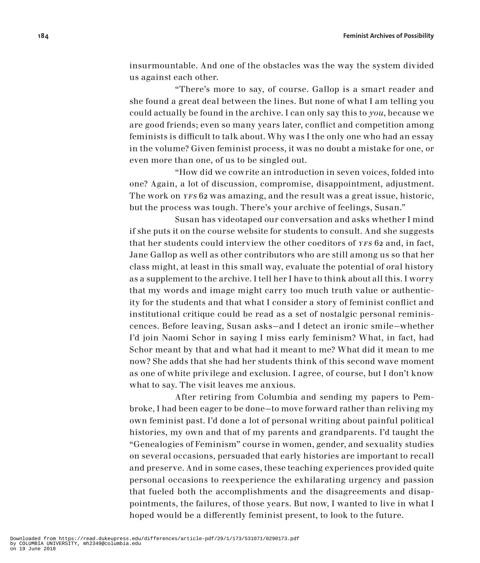insurmountable. And one of the obstacles was the way the system divided us against each other.

"There's more to say, of course. Gallop is a smart reader and she found a great deal between the lines. But none of what I am telling you could actually be found in the archive. I can only say this to *you*, because we are good friends; even so many years later, conflict and competition among feminists is difficult to talk about. Why was I the only one who had an essay in the volume? Given feminist process, it was no doubt a mistake for one, or even more than one, of us to be singled out.

"How did we cowrite an introduction in seven voices, folded into one? Again, a lot of discussion, compromise, disappointment, adjustment. The work on YFS 62 was amazing, and the result was a great issue, historic, but the process was tough. There's your archive of feelings, Susan."

Susan has videotaped our conversation and asks whether I mind if she puts it on the course website for students to consult. And she suggests that her students could interview the other coeditors of YFS 62 and, in fact, Jane Gallop as well as other contributors who are still among us so that her class might, at least in this small way, evaluate the potential of oral history as a supplement to the archive. I tell her I have to think about all this. I worry that my words and image might carry too much truth value or authenticity for the students and that what I consider a story of feminist conflict and institutional critique could be read as a set of nostalgic personal reminiscences. Before leaving, Susan asks—and I detect an ironic smile—whether I'd join Naomi Schor in saying I miss early feminism? What, in fact, had Schor meant by that and what had it meant to me? What did it mean to me now? She adds that she had her students think of this second wave moment as one of white privilege and exclusion. I agree, of course, but I don't know what to say. The visit leaves me anxious.

After retiring from Columbia and sending my papers to Pembroke, I had been eager to be done—to move forward rather than reliving my own feminist past. I'd done a lot of personal writing about painful political histories, my own and that of my parents and grandparents. I'd taught the "Genealogies of Feminism" course in women, gender, and sexuality studies on several occasions, persuaded that early histories are important to recall and preserve. And in some cases, these teaching experiences provided quite personal occasions to reexperience the exhilarating urgency and passion that fueled both the accomplishments and the disagreements and disappointments, the failures, of those years. But now, I wanted to live in what I hoped would be a differently feminist present, to look to the future.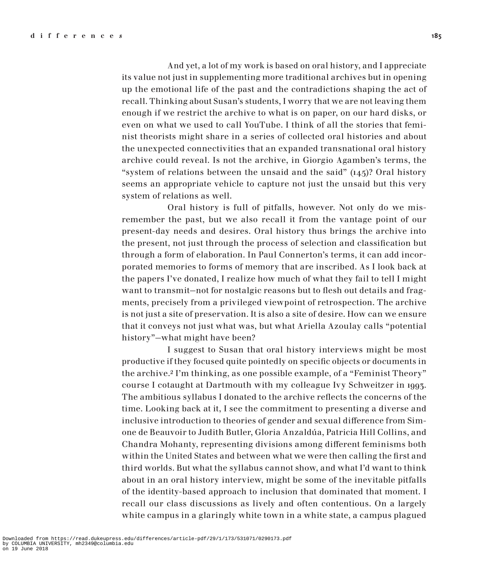And yet, a lot of my work is based on oral history, and I appreciate its value not just in supplementing more traditional archives but in opening up the emotional life of the past and the contradictions shaping the act of recall. Thinking about Susan's students, I worry that we are not leaving them enough if we restrict the archive to what is on paper, on our hard disks, or even on what we used to call YouTube. I think of all the stories that feminist theorists might share in a series of collected oral histories and about the unexpected connectivities that an expanded transnational oral history archive could reveal. Is not the archive, in Giorgio Agamben's terms, the "system of relations between the unsaid and the said"  $(145)$ ? Oral history seems an appropriate vehicle to capture not just the unsaid but this very system of relations as well.

Oral history is full of pitfalls, however. Not only do we misremember the past, but we also recall it from the vantage point of our present-day needs and desires. Oral history thus brings the archive into the present, not just through the process of selection and classification but through a form of elaboration. In Paul Connerton's terms, it can add incorporated memories to forms of memory that are inscribed. As I look back at the papers I've donated, I realize how much of what they fail to tell I might want to transmit—not for nostalgic reasons but to flesh out details and fragments, precisely from a privileged viewpoint of retrospection. The archive is not just a site of preservation. It is also a site of desire. How can we ensure that it conveys not just what was, but what Ariella Azoulay calls "potential history"—what might have been?

I suggest to Susan that oral history interviews might be most productive if they focused quite pointedly on specific objects or documents in the archive.2 I'm thinking, as one possible example, of a "Feminist Theory" course I cotaught at Dartmouth with my colleague Ivy Schweitzer in 1993. The ambitious syllabus I donated to the archive reflects the concerns of the time. Looking back at it, I see the commitment to presenting a diverse and inclusive introduction to theories of gender and sexual difference from Simone de Beauvoir to Judith Butler, Gloria Anzaldúa, Patricia Hill Collins, and Chandra Mohanty, representing divisions among different feminisms both within the United States and between what we were then calling the first and third worlds. But what the syllabus cannot show, and what I'd want to think about in an oral history interview, might be some of the inevitable pitfalls of the identity-based approach to inclusion that dominated that moment. I recall our class discussions as lively and often contentious. On a largely white campus in a glaringly white town in a white state, a campus plagued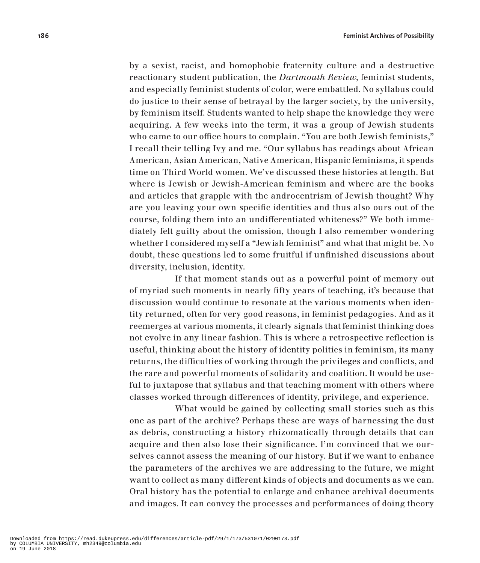by a sexist, racist, and homophobic fraternity culture and a destructive reactionary student publication, the *Dartmouth Review*, feminist students, and especially feminist students of color, were embattled. No syllabus could do justice to their sense of betrayal by the larger society, by the university, by feminism itself. Students wanted to help shape the knowledge they were acquiring. A few weeks into the term, it was a group of Jewish students who came to our office hours to complain. "You are both Jewish feminists," I recall their telling Ivy and me. "Our syllabus has readings about African American, Asian American, Native American, Hispanic feminisms, it spends time on Third World women. We've discussed these histories at length. But where is Jewish or Jewish-American feminism and where are the books and articles that grapple with the androcentrism of Jewish thought? Why are you leaving your own specific identities and thus also ours out of the course, folding them into an undifferentiated whiteness?" We both immediately felt guilty about the omission, though I also remember wondering whether I considered myself a "Jewish feminist" and what that might be. No doubt, these questions led to some fruitful if unfinished discussions about diversity, inclusion, identity.

If that moment stands out as a powerful point of memory out of myriad such moments in nearly fifty years of teaching, it's because that discussion would continue to resonate at the various moments when identity returned, often for very good reasons, in feminist pedagogies. And as it reemerges at various moments, it clearly signals that feminist thinking does not evolve in any linear fashion. This is where a retrospective reflection is useful, thinking about the history of identity politics in feminism, its many returns, the difficulties of working through the privileges and conflicts, and the rare and powerful moments of solidarity and coalition. It would be useful to juxtapose that syllabus and that teaching moment with others where classes worked through differences of identity, privilege, and experience.

What would be gained by collecting small stories such as this one as part of the archive? Perhaps these are ways of harnessing the dust as debris, constructing a history rhizomatically through details that can acquire and then also lose their significance. I'm convinced that we ourselves cannot assess the meaning of our history. But if we want to enhance the parameters of the archives we are addressing to the future, we might want to collect as many different kinds of objects and documents as we can. Oral history has the potential to enlarge and enhance archival documents and images. It can convey the processes and performances of doing theory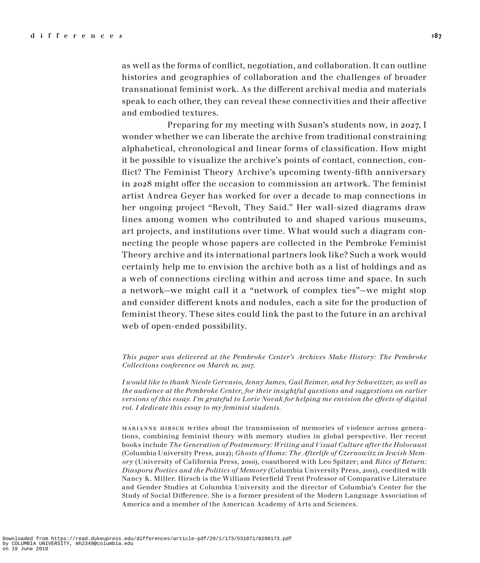as well as the forms of conflict, negotiation, and collaboration. It can outline histories and geographies of collaboration and the challenges of broader transnational feminist work. As the different archival media and materials speak to each other, they can reveal these connectivities and their affective and embodied textures.

Preparing for my meeting with Susan's students now, in 2027, I wonder whether we can liberate the archive from traditional constraining alphabetical, chronological and linear forms of classification. How might it be possible to visualize the archive's points of contact, connection, conflict? The Feminist Theory Archive's upcoming twenty-fifth anniversary in 2028 might offer the occasion to commission an artwork. The feminist artist Andrea Geyer has worked for over a decade to map connections in her ongoing project "Revolt, They Said." Her wall-sized diagrams draw lines among women who contributed to and shaped various museums, art projects, and institutions over time. What would such a diagram connecting the people whose papers are collected in the Pembroke Feminist Theory archive and its international partners look like? Such a work would certainly help me to envision the archive both as a list of holdings and as a web of connections circling within and across time and space. In such a network—we might call it a "network of complex ties"—we might stop and consider different knots and nodules, each a site for the production of feminist theory. These sites could link the past to the future in an archival web of open-ended possibility.

*This paper was delivered at the Pembroke Center's Archives Make History: The Pembroke Collections conference on March 10, 2017.*

*I would like to thank Nicole Gervasio, Jenny James, Gail Reimer, and Ivy Schweitzer, as well as the audience at the Pembroke Center, for their insightful questions and suggestions on earlier versions of this essay. I'm grateful to Lorie Novak for helping me envision the effects of digital rot. I dedicate this essay to my feminist students.*

marianne hirsch writes about the transmission of memories of violence across generations, combining feminist theory with memory studies in global perspective. Her recent books include *The Generation of Postmemory: Writing and Visual Culture after the Holocaust* (Columbia University Press, 2012); *Ghosts of Home: The Afterlife of Czernowitz in Jewish Memory* (University of California Press, 2010), coauthored with Leo Spitzer; and *Rites of Return: Diaspora Poetics and the Politics of Memory* (Columbia University Press, 2011), coedited with Nancy K. Miller. Hirsch is the William Peterfield Trent Professor of Comparative Literature and Gender Studies at Columbia University and the director of Columbia's Center for the Study of Social Difference. She is a former president of the Modern Language Association of America and a member of the American Academy of Arts and Sciences.